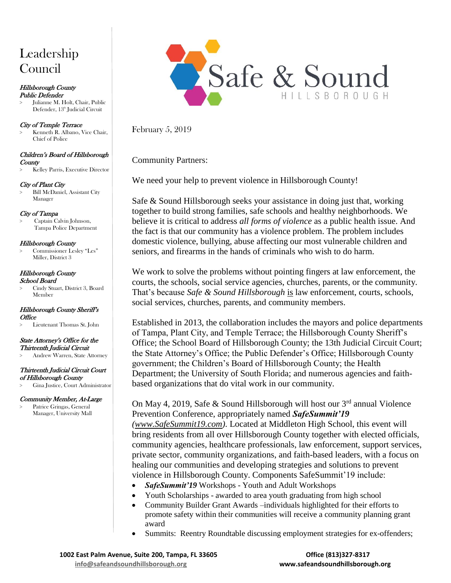# Leadership Council

#### Hillsborough County Public Defender

> Julianne M. Holt, Chair, Public Defender, 13<sup>th</sup> Judicial Circuit

### City of Temple Terrace

> Kenneth R. Albano, Vice Chair, Chief of Police

#### Children's Board of Hillsborough **County**

> Kelley Parris, Executive Director

## City of Plant City

> Bill McDaniel, Assistant City Manager

## City of Tampa

> Captain Calvin Johnson, Tampa Police Department

#### Hillsborough County

> Commissioner Lesley "Les" Miller, District 3

## Hillsborough County

## School Board

> Cindy Stuart, District 3, Board Member

#### Hillsborough County Sheriff's **Office**

> Lieutenant Thomas St. John

#### State Attorney's Office for the Thirteenth Judicial Circuit

> Andrew Warren, State Attorney

## Thirteenth Judicial Circuit Court

- of Hillsborough County
- > Gina Justice, Court Administrator

## Community Member, At-Large

> Patrice Gringas, General Manager, University Mall



February 5, 2019

Community Partners:

We need your help to prevent violence in Hillsborough County!

Safe & Sound Hillsborough seeks your assistance in doing just that, working together to build strong families, safe schools and healthy neighborhoods. We believe it is critical to address *all forms of violence* as a public health issue. And the fact is that our community has a violence problem. The problem includes domestic violence, bullying, abuse affecting our most vulnerable children and seniors, and firearms in the hands of criminals who wish to do harm.

We work to solve the problems without pointing fingers at law enforcement, the courts, the schools, social service agencies, churches, parents, or the community. That's because *Safe & Sound Hillsborough* is law enforcement, courts, schools, social services, churches, parents, and community members.

Established in 2013, the collaboration includes the mayors and police departments of Tampa, Plant City, and Temple Terrace; the Hillsborough County Sheriff's Office; the School Board of Hillsborough County; the 13th Judicial Circuit Court; the State Attorney's Office; the Public Defender's Office; Hillsborough County government; the Children's Board of Hillsborough County; the Health Department; the University of South Florida; and numerous agencies and faithbased organizations that do vital work in our community.

On May 4, 2019, Safe & Sound Hillsborough will host our  $3<sup>rd</sup>$  annual Violence Prevention Conference, appropriately named *SafeSummit'19 [\(www.SafeSummit19.com\)](http://www.safesummit19.com/)*. Located at Middleton High School, this event will bring residents from all over Hillsborough County together with elected officials, community agencies, healthcare professionals, law enforcement, support services, private sector, community organizations, and faith-based leaders, with a focus on healing our communities and developing strategies and solutions to prevent violence in Hillsborough County. Components SafeSummit'19 include:

- *SafeSummit'19* Workshops Youth and Adult Workshops
- Youth Scholarships awarded to area youth graduating from high school
- Community Builder Grant Awards –individuals highlighted for their efforts to promote safety within their communities will receive a community planning grant award
- Summits: Reentry Roundtable discussing employment strategies for ex-offenders;